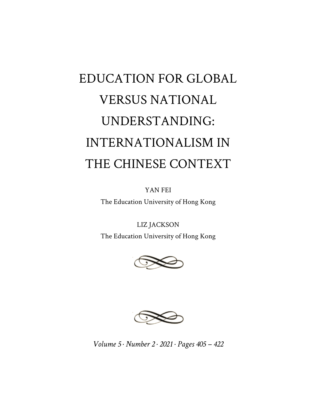## EDUCATION FOR GLOBAL VERSUS NATIONAL UNDERSTANDING: INTERNATIONALISM IN THE CHINESE CONTEXT

YAN FEI

The Education University of Hong Kong

LIZ JACKSON

The Education University of Hong Kong





*Volume 5 · Number 2 · 2021 · Pages 405 – 422*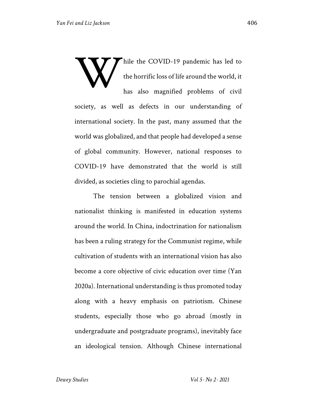Thile the COVID-19 pandemic has led to the horrific loss of life around the world, it has also magnified problems of civil society, as well as defects in our understanding of international society. In the past, many assumed that the world was globalized, and that people had developed a sense of global community. However, national responses to COVID-19 have demonstrated that the world is still divided, as societies cling to parochial agendas. W

The tension between a globalized vision and nationalist thinking is manifested in education systems around the world. In China, indoctrination for nationalism has been a ruling strategy for the Communist regime, while cultivation of students with an international vision has also become a core objective of civic education over time (Yan 2020a). International understanding is thus promoted today along with a heavy emphasis on patriotism. Chinese students, especially those who go abroad (mostly in undergraduate and postgraduate programs), inevitably face an ideological tension. Although Chinese international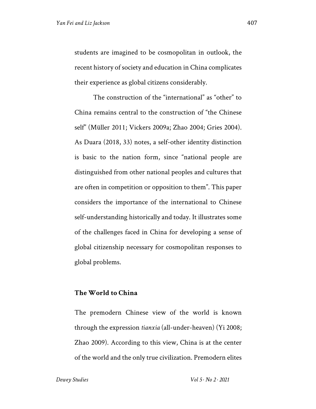students are imagined to be cosmopolitan in outlook, the recent history of society and education in China complicates their experience as global citizens considerably.

The construction of the "international" as "other" to China remains central to the construction of "the Chinese self" (Müller 2011; Vickers 2009a; Zhao 2004; Gries 2004). As Duara (2018, 33) notes, a self-other identity distinction is basic to the nation form, since "national people are distinguished from other national peoples and cultures that are often in competition or opposition to them". This paper considers the importance of the international to Chinese self-understanding historically and today. It illustrates some of the challenges faced in China for developing a sense of global citizenship necessary for cosmopolitan responses to global problems.

## **The World to China**

The premodern Chinese view of the world is known through the expression *tianxia* (all-under-heaven) (Yi 2008; Zhao 2009). According to this view, China is at the center of the world and the only true civilization. Premodern elites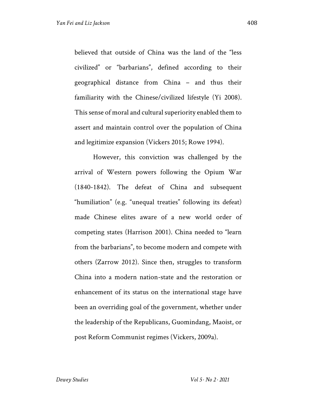believed that outside of China was the land of the "less civilized" or "barbarians", defined according to their geographical distance from China – and thus their familiarity with the Chinese/civilized lifestyle (Yi 2008). This sense of moral and cultural superiority enabled them to assert and maintain control over the population of China and legitimize expansion (Vickers 2015; Rowe 1994).

However, this conviction was challenged by the arrival of Western powers following the Opium War (1840-1842). The defeat of China and subsequent "humiliation" (e.g. "unequal treaties" following its defeat) made Chinese elites aware of a new world order of competing states (Harrison 2001). China needed to "learn from the barbarians", to become modern and compete with others (Zarrow 2012). Since then, struggles to transform China into a modern nation-state and the restoration or enhancement of its status on the international stage have been an overriding goal of the government, whether under the leadership of the Republicans, Guomindang, Maoist, or post Reform Communist regimes (Vickers, 2009a).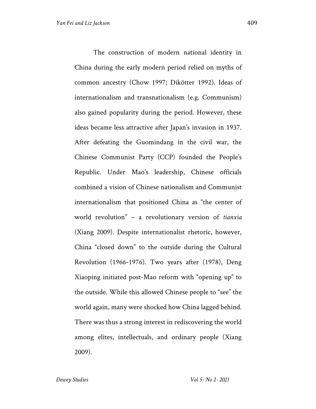The construction of modern national identity in China during the early modern period relied on myths of common ancestry (Chow 1997; Dikötter 1992). Ideas of internationalism and transnationalism (e.g. Communism) also gained popularity during the period. However, these ideas became less attractive after Japan's invasion in 1937. After defeating the Guomindang in the civil war, the Chinese Communist Party (CCP) founded the People's Republic. Under Mao's leadership, Chinese officials combined a vision of Chinese nationalism and Communist internationalism that positioned China as "the center of world revolution" – a revolutionary version of *tianxia* (Xiang 2009). Despite internationalist rhetoric, however, China "closed down" to the outside during the Cultural Revolution (1966-1976). Two years after (1978), Deng Xiaoping initiated post-Mao reform with "opening up" to the outside. While this allowed Chinese people to "see" the world again, many were shocked how China lagged behind. There was thus a strong interest in rediscovering the world among elites, intellectuals, and ordinary people (Xiang 2009).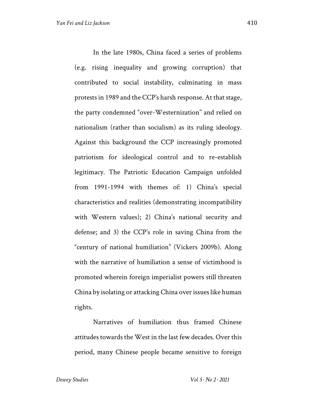In the late 1980s, China faced a series of problems (e.g. rising inequality and growing corruption) that contributed to social instability, culminating in mass protests in 1989 and the CCP's harsh response. At that stage, the party condemned "over-Westernization" and relied on nationalism (rather than socialism) as its ruling ideology. Against this background the CCP increasingly promoted patriotism for ideological control and to re-establish legitimacy. The Patriotic Education Campaign unfolded from 1991-1994 with themes of: 1) China's special characteristics and realities (demonstrating incompatibility with Western values); 2) China's national security and defense; and 3) the CCP's role in saving China from the "century of national humiliation" (Vickers 2009b). Along with the narrative of humiliation a sense of victimhood is promoted wherein foreign imperialist powers still threaten China by isolating or attacking China over issues like human rights.

Narratives of humiliation thus framed Chinese attitudes towards the West in the last few decades. Over this period, many Chinese people became sensitive to foreign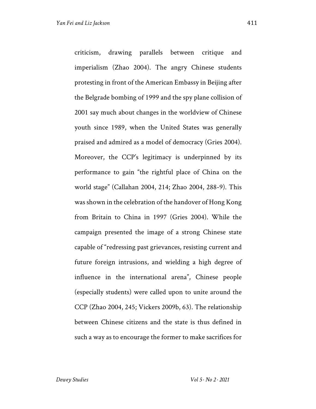criticism, drawing parallels between critique and imperialism (Zhao 2004). The angry Chinese students protesting in front of the American Embassy in Beijing after the Belgrade bombing of 1999 and the spy plane collision of 2001 say much about changes in the worldview of Chinese youth since 1989, when the United States was generally praised and admired as a model of democracy (Gries 2004). Moreover, the CCP's legitimacy is underpinned by its performance to gain "the rightful place of China on the world stage" (Callahan 2004, 214; Zhao 2004, 288-9). This was shown in the celebration of the handover of Hong Kong

from Britain to China in 1997 (Gries 2004). While the campaign presented the image of a strong Chinese state capable of "redressing past grievances, resisting current and future foreign intrusions, and wielding a high degree of influence in the international arena", Chinese people (especially students) were called upon to unite around the CCP (Zhao 2004, 245; Vickers 2009b, 63). The relationship between Chinese citizens and the state is thus defined in such a way as to encourage the former to make sacrifices for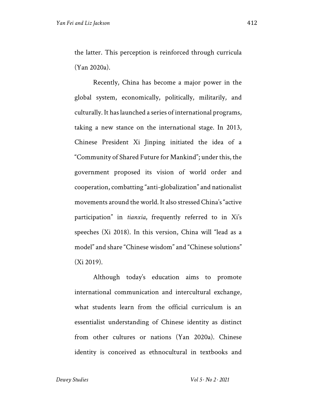the latter. This perception is reinforced through curricula (Yan 2020a).

Recently, China has become a major power in the global system, economically, politically, militarily, and culturally. It has launched a series of international programs, taking a new stance on the international stage. In 2013, Chinese President Xi Jinping initiated the idea of a "Community of Shared Future for Mankind"; under this, the government proposed its vision of world order and cooperation, combatting "anti-globalization" and nationalist movements around the world. It also stressed China's "active participation" in *tianxia*, frequently referred to in Xi's speeches (Xi 2018). In this version, China will "lead as a model" and share "Chinese wisdom" and "Chinese solutions" (Xi 2019).

Although today's education aims to promote international communication and intercultural exchange, what students learn from the official curriculum is an essentialist understanding of Chinese identity as distinct from other cultures or nations (Yan 2020a). Chinese identity is conceived as ethnocultural in textbooks and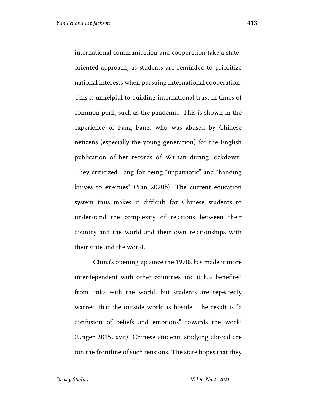international communication and cooperation take a stateoriented approach, as students are reminded to prioritize national interests when pursuing international cooperation. This is unhelpful to building international trust in times of common peril, such as the pandemic. This is shown in the experience of Fang Fang, who was abused by Chinese netizens (especially the young generation) for the English publication of her records of Wuhan during lockdown. They criticized Fang for being "unpatriotic" and "handing knives to enemies" (Yan 2020b). The current education system thus makes it difficult for Chinese students to understand the complexity of relations between their country and the world and their own relationships with their state and the world.

China's opening up since the 1970s has made it more interdependent with other countries and it has benefited from links with the world, but students are repeatedly warned that the outside world is hostile. The result is "a confusion of beliefs and emotions" towards the world (Unger 2015, xvii). Chinese students studying abroad are ton the frontline of such tensions. The state hopes that they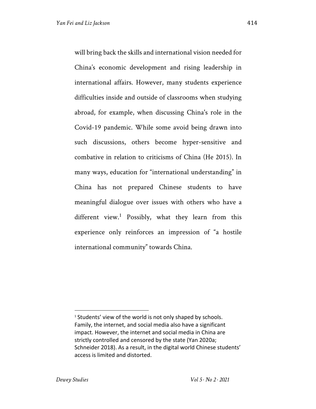will bring back the skills and international vision needed for China's economic development and rising leadership in international affairs. However, many students experience difficulties inside and outside of classrooms when studying abroad, for example, when discussing China's role in the Covid-19 pandemic. While some avoid being drawn into such discussions, others become hyper-sensitive and combative in relation to criticisms of China (He 2015). In many ways, education for "international understanding" in China has not prepared Chinese students to have meaningful dialogue over issues with others who have a different view.<sup>1</sup> Possibly, what they learn from this experience only reinforces an impression of "a hostile international community" towards China.

<sup>&</sup>lt;sup>1</sup> Students' view of the world is not only shaped by schools. Family, the internet, and social media also have a significant impact. However, the internet and social media in China are strictly controlled and censored by the state (Yan 2020a; Schneider 2018). As a result, in the digital world Chinese students' access is limited and distorted.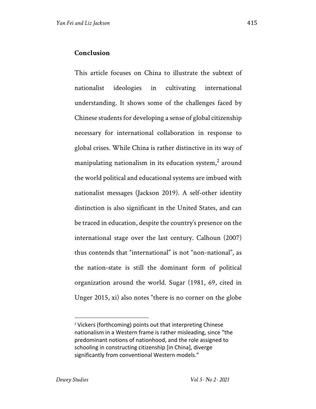This article focuses on China to illustrate the subtext of nationalist ideologies in cultivating international understanding. It shows some of the challenges faced by Chinese students for developing a sense of global citizenship necessary for international collaboration in response to global crises. While China is rather distinctive in its way of manipulating nationalism in its education system, $<sup>2</sup>$  around</sup> the world political and educational systems are imbued with nationalist messages (Jackson 2019). A self-other identity distinction is also significant in the United States, and can be traced in education, despite the country's presence on the international stage over the last century. Calhoun (2007) thus contends that "international" is not "non-national", as the nation-state is still the dominant form of political organization around the world. Sugar (1981, 69, cited in Unger 2015, xi) also notes "there is no corner on the globe

<sup>2</sup> Vickers (forthcoming) points out that interpreting Chinese nationalism in a Western frame is rather misleading, since "the predominant notions of nationhood, and the role assigned to schooling in constructing citizenship [in China], diverge significantly from conventional Western models."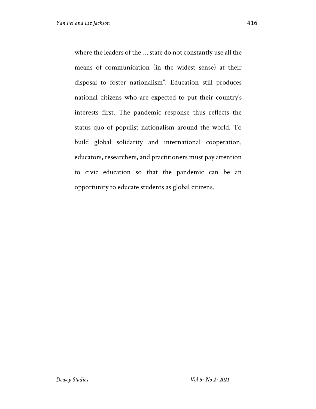where the leaders of the … state do not constantly use all the means of communication (in the widest sense) at their disposal to foster nationalism". Education still produces national citizens who are expected to put their country's interests first. The pandemic response thus reflects the status quo of populist nationalism around the world. To build global solidarity and international cooperation, educators, researchers, and practitioners must pay attention to civic education so that the pandemic can be an opportunity to educate students as global citizens.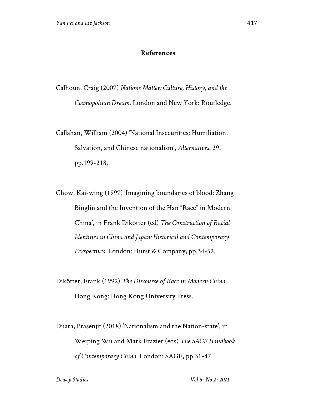## **References**

Calhoun, Craig (2007) *Nations Matter: Culture, History, and the Cosmopolitan Dream*. London and New York: Routledge.

Callahan, William (2004) 'National Insecurities: Humiliation, Salvation, and Chinese nationalism', *Alternatives*, 29, pp.199-218.

Chow, Kai-wing (1997) 'Imagining boundaries of blood: Zhang Binglin and the Invention of the Han "Race" in Modern China', in Frank Dikötter (ed) *The Construction of Racial Identities in China and Japan: Historical and Contemporary Perspectives*. London: Hurst & Company, pp.34-52.

Dikötter, Frank (1992) *The Discourse of Race in Modern China*. Hong Kong: Hong Kong University Press.

Duara, Prasenjit (2018) 'Nationalism and the Nation-state', in Weiping Wu and Mark Frazier (eds) *The SAGE Handbook of Contemporary China*. London: SAGE, pp.31-47.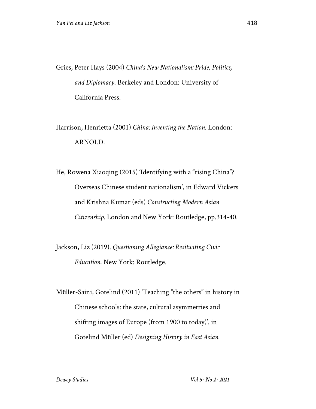Gries, Peter Hays (2004) *China's New Nationalism: Pride, Politics, and Diplomacy*. Berkeley and London: University of California Press.

Harrison, Henrietta (2001) *China: Inventing the Nation*. London: ARNOLD.

He, Rowena Xiaoqing (2015) 'Identifying with a "rising China"? Overseas Chinese student nationalism', in Edward Vickers and Krishna Kumar (eds) *Constructing Modern Asian Citizenship*. London and New York: Routledge, pp.314-40.

Jackson, Liz (2019). *Questioning Allegiance: Resituating Civic Education*. New York: Routledge.

Müller-Saini, Gotelind (2011) 'Teaching "the others" in history in Chinese schools: the state, cultural asymmetries and shifting images of Europe (from 1900 to today)', in Gotelind Müller (ed) *Designing History in East Asian*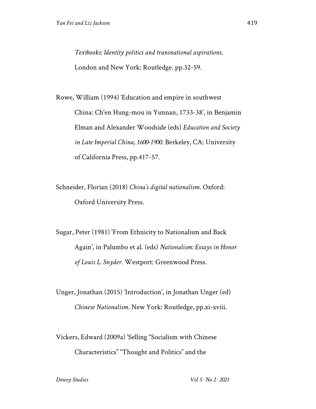*Textbooks: Identity politics and transnational aspirations*. London and New York: Routledge. pp.32-59.

Rowe, William (1994) 'Education and empire in southwest China: Ch'en Hung-mou in Yunnan, 1733-38', in Benjamin Elman and Alexander Woodside (eds) *Education and Society in Late Imperial China, 1600-1900*. Berkeley, CA: University of California Press, pp.417-57.

Schneider, Florian (2018) *China's digital nationalism*. Oxford: Oxford University Press.

Sugar, Peter (1981) 'From Ethnicity to Nationalism and Back Again', in Palumbo et al. (eds) *Nationalism: Essays in Honor of Louis L. Snyder*. Westport: Greenwood Press.

Unger, Jonathan (2015) 'Introduction', in Jonathan Unger (ed) *Chinese Nationalism*. New York: Routledge, pp.xi-xviii.

Vickers, Edward (2009a) 'Selling "Socialism with Chinese Characteristics" "Thought and Politics" and the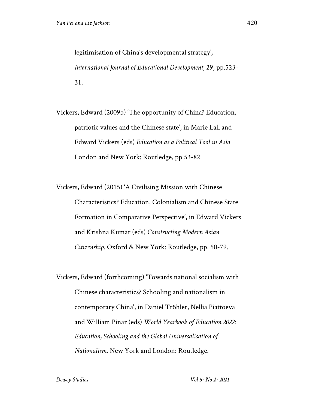legitimisation of China's developmental strategy', *International Journal of Educational Development*, 29, pp.523- 31.

Vickers, Edward (2009b) 'The opportunity of China? Education, patriotic values and the Chinese state', in Marie Lall and Edward Vickers (eds) *Education as a Political Tool in Asia*. London and New York: Routledge, pp.53-82.

Vickers, Edward (2015) 'A Civilising Mission with Chinese Characteristics? Education, Colonialism and Chinese State Formation in Comparative Perspective', in Edward Vickers and Krishna Kumar (eds) *Constructing Modern Asian Citizenship*. Oxford & New York: Routledge, pp. 50-79.

Vickers, Edward (forthcoming) 'Towards national socialism with Chinese characteristics? Schooling and nationalism in contemporary China', in Daniel Tröhler, Nellia Piattoeva and William Pinar (eds) *World Yearbook of Education 2022: Education, Schooling and the Global Universalisation of Nationalism*. New York and London: Routledge.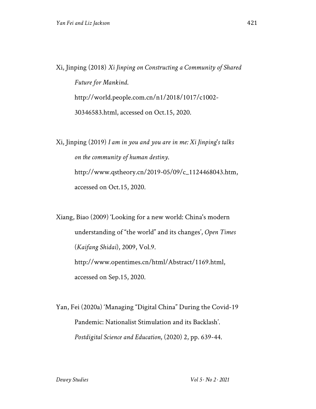Xi, Jinping (2018) *Xi Jinping on Constructing a Community of Shared Future for Mankind*. http://world.people.com.cn/n1/2018/1017/c1002- 30346583.html, accessed on Oct.15, 2020.

Xi, Jinping (2019) *I am in you and you are in me: Xi Jinping's talks on the community of human destiny*. http://www.qstheory.cn/2019-05/09/c\_1124468043.htm, accessed on Oct.15, 2020.

Xiang, Biao (2009) 'Looking for a new world: China's modern understanding of "the world" and its changes', *Open Times* (*Kaifang Shidai*), 2009, Vol.9. http://www.opentimes.cn/html/Abstract/1169.html, accessed on Sep.15, 2020.

Yan, Fei (2020a) 'Managing "Digital China" During the Covid-19 Pandemic: Nationalist Stimulation and its Backlash'. *Postdigital Science and Education*, (2020) 2, pp. 639-44.